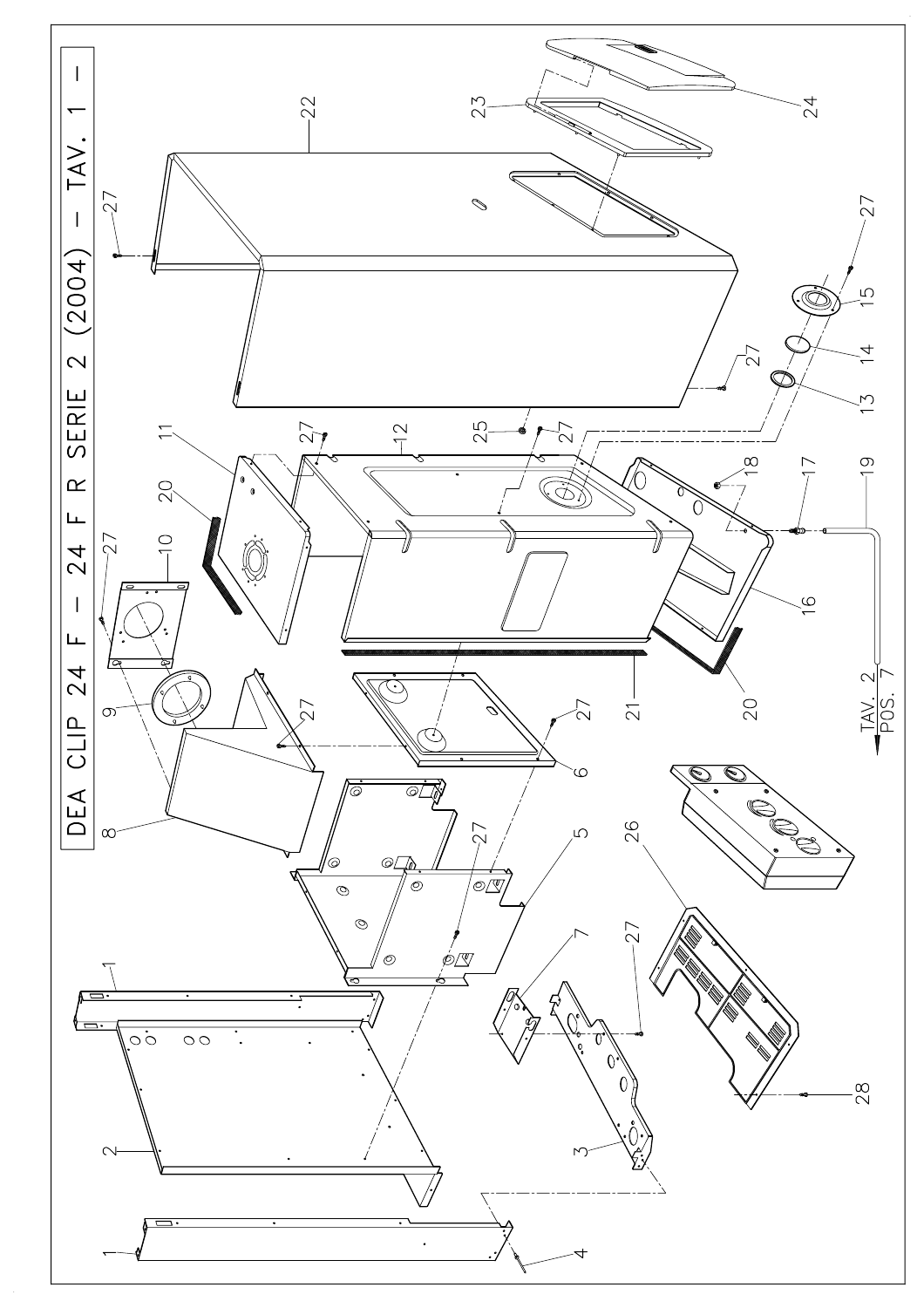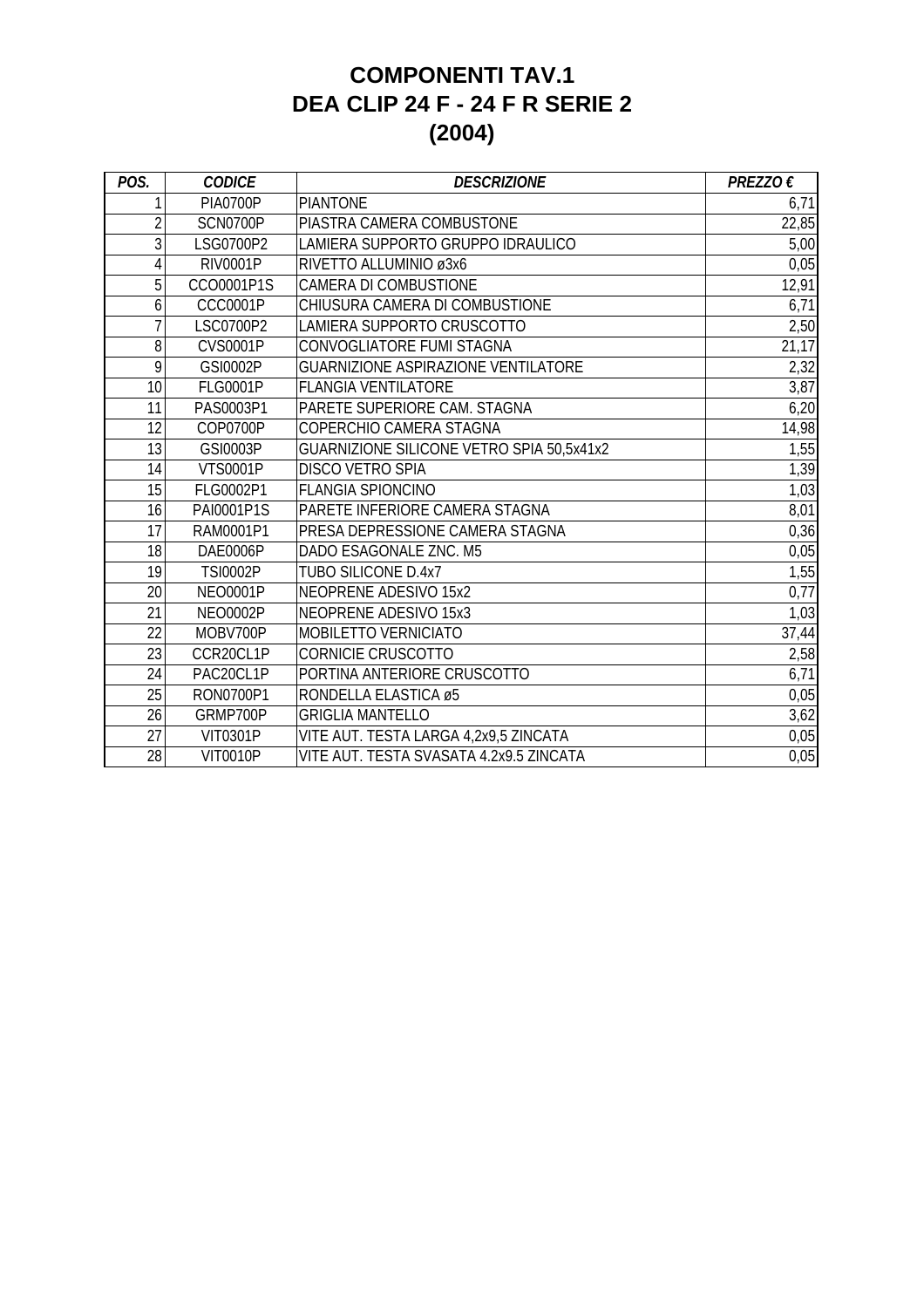## **COMPONENTI TAV.1 DEA CLIP 24 F - 24 F R SERIE 2 (2004)**

| POS.           | <b>CODICE</b>   | <b>DESCRIZIONE</b>                         | PREZZO $\epsilon$ |
|----------------|-----------------|--------------------------------------------|-------------------|
| 1              | <b>PIA0700P</b> | <b>PIANTONE</b>                            | 6,71              |
| $\overline{2}$ | SCN0700P        | PIASTRA CAMERA COMBUSTONE                  | 22,85             |
| 3              | LSG0700P2       | LAMIERA SUPPORTO GRUPPO IDRAULICO          | 5,00              |
| 4              | <b>RIV0001P</b> | RIVETTO ALLUMINIO ø3x6                     | 0,05              |
| 5              | CCO0001P1S      | <b>CAMERA DI COMBUSTIONE</b>               | 12,91             |
| 6              | <b>CCC0001P</b> | CHIUSURA CAMERA DI COMBUSTIONE             | 6,71              |
| 7              | LSC0700P2       | LAMIERA SUPPORTO CRUSCOTTO                 | 2,50              |
| 8              | <b>CVS0001P</b> | CONVOGLIATORE FUMI STAGNA                  | 21,17             |
| 9              | GSI0002P        | <b>GUARNIZIONE ASPIRAZIONE VENTILATORE</b> | 2,32              |
| 10             | <b>FLG0001P</b> | <b>FLANGIA VENTILATORE</b>                 | 3,87              |
| 11             | PAS0003P1       | PARETE SUPERIORE CAM. STAGNA               | 6,20              |
| 12             | COP0700P        | COPERCHIO CAMERA STAGNA                    | 14,98             |
| 13             | GSI0003P        | GUARNIZIONE SILICONE VETRO SPIA 50,5x41x2  | 1,55              |
| 14             | <b>VTS0001P</b> | <b>DISCO VETRO SPIA</b>                    | 1,39              |
| 15             | FLG0002P1       | <b>FLANGIA SPIONCINO</b>                   | 1,03              |
| 16             | PAI0001P1S      | PARETE INFERIORE CAMERA STAGNA             | 8,01              |
| 17             | RAM0001P1       | PRESA DEPRESSIONE CAMERA STAGNA            | 0,36              |
| 18             | DAE0006P        | DADO ESAGONALE ZNC. M5                     | 0,05              |
| 19             | <b>TSI0002P</b> | <b>TUBO SILICONE D.4x7</b>                 | 1,55              |
| 20             | <b>NEO0001P</b> | <b>NEOPRENE ADESIVO 15x2</b>               | 0,77              |
| 21             | <b>NEO0002P</b> | <b>NEOPRENE ADESIVO 15x3</b>               | 1,03              |
| 22             | MOBV700P        | MOBILETTO VERNICIATO                       | 37,44             |
| 23             | CCR20CL1P       | <b>CORNICIE CRUSCOTTO</b>                  | 2,58              |
| 24             | PAC20CL1P       | PORTINA ANTERIORE CRUSCOTTO                | 6,71              |
| 25             | RON0700P1       | RONDELLA ELASTICA ø5                       | 0,05              |
| 26             | GRMP700P        | <b>GRIGLIA MANTELLO</b>                    | 3,62              |
| 27             | <b>VIT0301P</b> | VITE AUT. TESTA LARGA 4,2x9,5 ZINCATA      | 0,05              |
| 28             | <b>VIT0010P</b> | VITE AUT. TESTA SVASATA 4.2x9.5 ZINCATA    | 0,05              |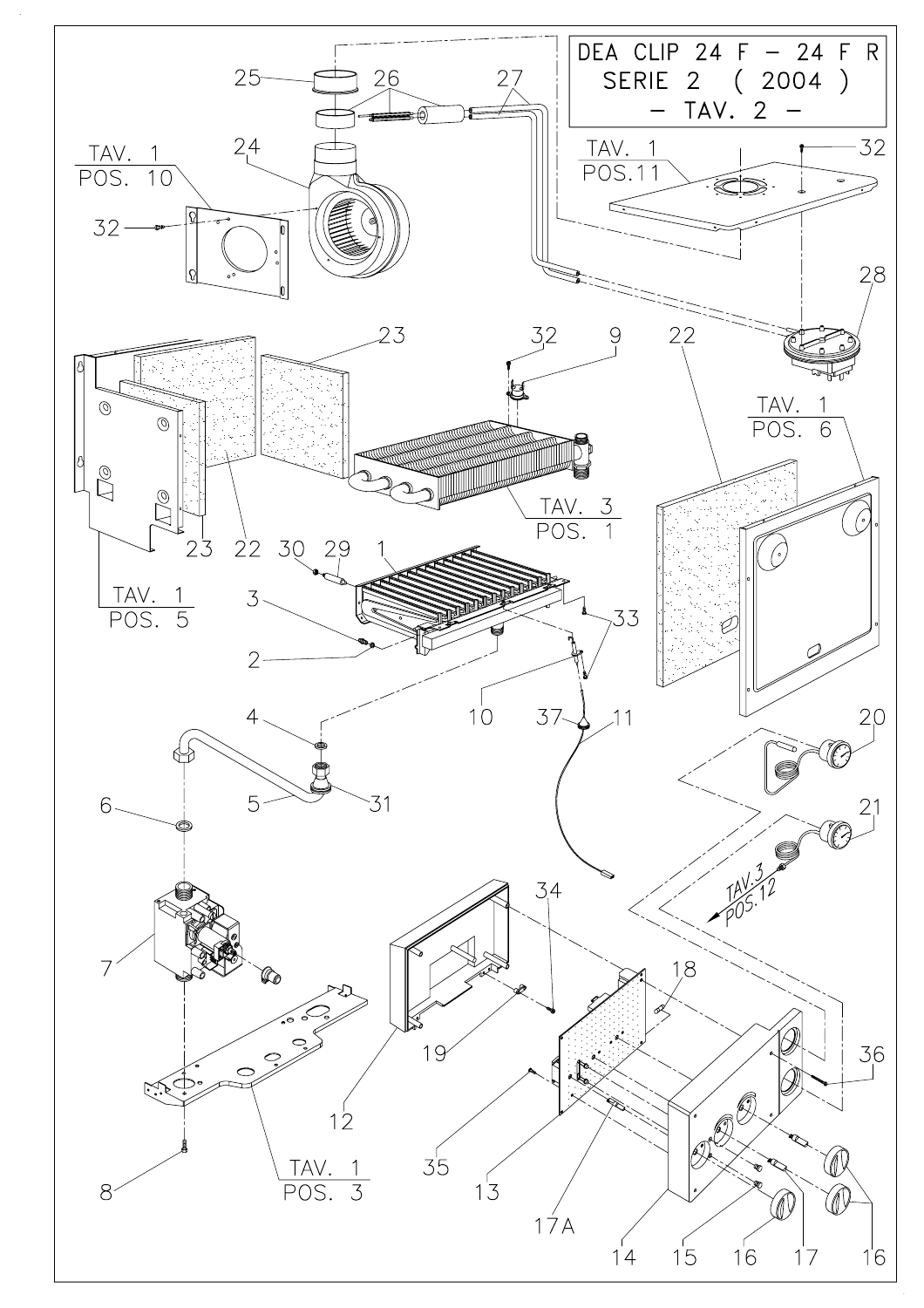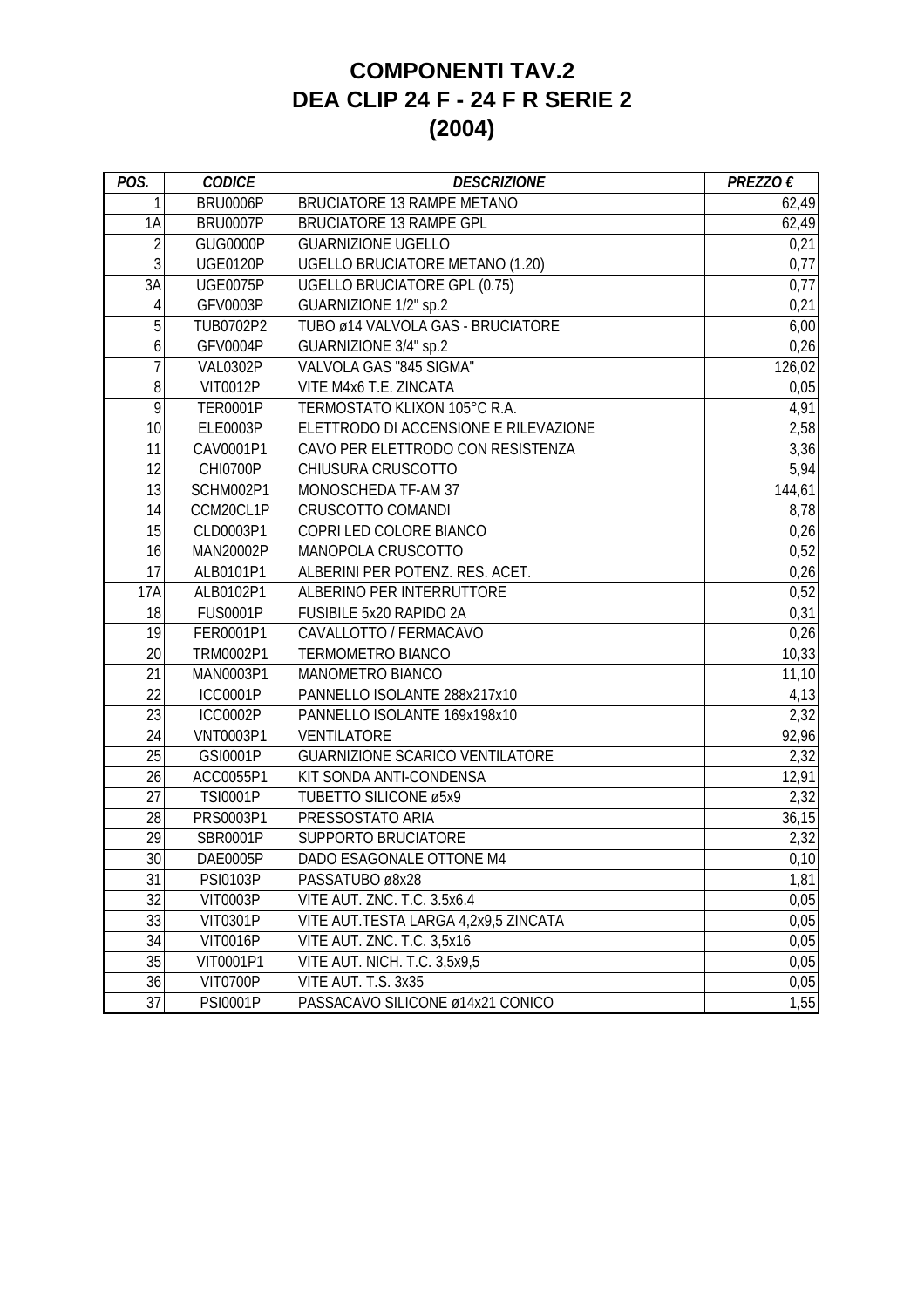## **COMPONENTI TAV.2 DEA CLIP 24 F - 24 F R SERIE 2 (2004)**

| POS.           | <b>CODICE</b>    | <b>DESCRIZIONE</b>                     | PREZZO $\epsilon$ |
|----------------|------------------|----------------------------------------|-------------------|
| 1              | BRU0006P         | <b>BRUCIATORE 13 RAMPE METANO</b>      | 62,49             |
| 1A             | <b>BRU0007P</b>  | <b>BRUCIATORE 13 RAMPE GPL</b>         | 62,49             |
| $\overline{2}$ | GUG0000P         | <b>GUARNIZIONE UGELLO</b>              | 0,21              |
| 3              | <b>UGE0120P</b>  | <b>UGELLO BRUCIATORE METANO (1.20)</b> | 0,77              |
| 3A             | <b>UGE0075P</b>  | <b>UGELLO BRUCIATORE GPL (0.75)</b>    | 0,77              |
| 4              | GFV0003P         | GUARNIZIONE 1/2" sp.2                  | 0,21              |
| 5              | TUB0702P2        | TUBO ø14 VALVOLA GAS - BRUCIATORE      | 6,00              |
| 6              | GFV0004P         | GUARNIZIONE 3/4" sp.2                  | 0,26              |
| $\overline{1}$ | <b>VAL0302P</b>  | VALVOLA GAS "845 SIGMA"                | 126,02            |
| 8              | <b>VIT0012P</b>  | VITE M4x6 T.E. ZINCATA                 | 0,05              |
| 9              | <b>TER0001P</b>  | TERMOSTATO KLIXON 105°C R.A.           | 4,91              |
| 10             | ELE0003P         | ELETTRODO DI ACCENSIONE E RILEVAZIONE  | 2,58              |
| 11             | CAV0001P1        | CAVO PER ELETTRODO CON RESISTENZA      | 3,36              |
| 12             | <b>CHI0700P</b>  | CHIUSURA CRUSCOTTO                     | 5,94              |
| 13             | SCHM002P1        | MONOSCHEDA TF-AM 37                    | 144,61            |
| 14             | CCM20CL1P        | CRUSCOTTO COMANDI                      | 8,78              |
| 15             | CLD0003P1        | COPRI LED COLORE BIANCO                | 0,26              |
| 16             | MAN20002P        | MANOPOLA CRUSCOTTO                     | 0,52              |
| 17             | ALB0101P1        | ALBERINI PER POTENZ. RES. ACET.        | 0,26              |
| 17A            | ALB0102P1        | ALBERINO PER INTERRUTTORE              | 0,52              |
| 18             | <b>FUS0001P</b>  | FUSIBILE 5x20 RAPIDO 2A                | 0,31              |
| 19             | FER0001P1        | CAVALLOTTO / FERMACAVO                 | 0,26              |
| 20             | TRM0002P1        | <b>TERMOMETRO BIANCO</b>               | 10,33             |
| 21             | MAN0003P1        | MANOMETRO BIANCO                       | 11,10             |
| 22             | <b>ICC0001P</b>  | PANNELLO ISOLANTE 288x217x10           | 4,13              |
| 23             | <b>ICC0002P</b>  | PANNELLO ISOLANTE 169x198x10           | 2,32              |
| 24             | <b>VNT0003P1</b> | VENTILATORE                            | 92,96             |
| 25             | GSI0001P         | <b>GUARNIZIONE SCARICO VENTILATORE</b> | 2,32              |
| 26             | ACC0055P1        | KIT SONDA ANTI-CONDENSA                | 12,91             |
| 27             | <b>TSI0001P</b>  | TUBETTO SILICONE ø5x9                  | 2,32              |
| 28             | PRS0003P1        | PRESSOSTATO ARIA                       | 36,15             |
| 29             | SBR0001P         | SUPPORTO BRUCIATORE                    | 2,32              |
| 30             | <b>DAE0005P</b>  | DADO ESAGONALE OTTONE M4               | 0,10              |
| 31             | <b>PSI0103P</b>  | PASSATUBO ø8x28                        | 1,81              |
| 32             | <b>VIT0003P</b>  | VITE AUT. ZNC. T.C. 3.5x6.4            | 0,05              |
| 33             | <b>VIT0301P</b>  | VITE AUT.TESTA LARGA 4,2x9,5 ZINCATA   | 0,05              |
| 34             | <b>VIT0016P</b>  | VITE AUT. ZNC. T.C. 3,5x16             | 0,05              |
| 35             | VIT0001P1        | VITE AUT. NICH. T.C. 3,5x9,5           | 0,05              |
| 36             | VIT0700P         | VITE AUT. T.S. 3x35                    | 0,05              |
| 37             | <b>PSI0001P</b>  | PASSACAVO SILICONE ø14x21 CONICO       | 1,55              |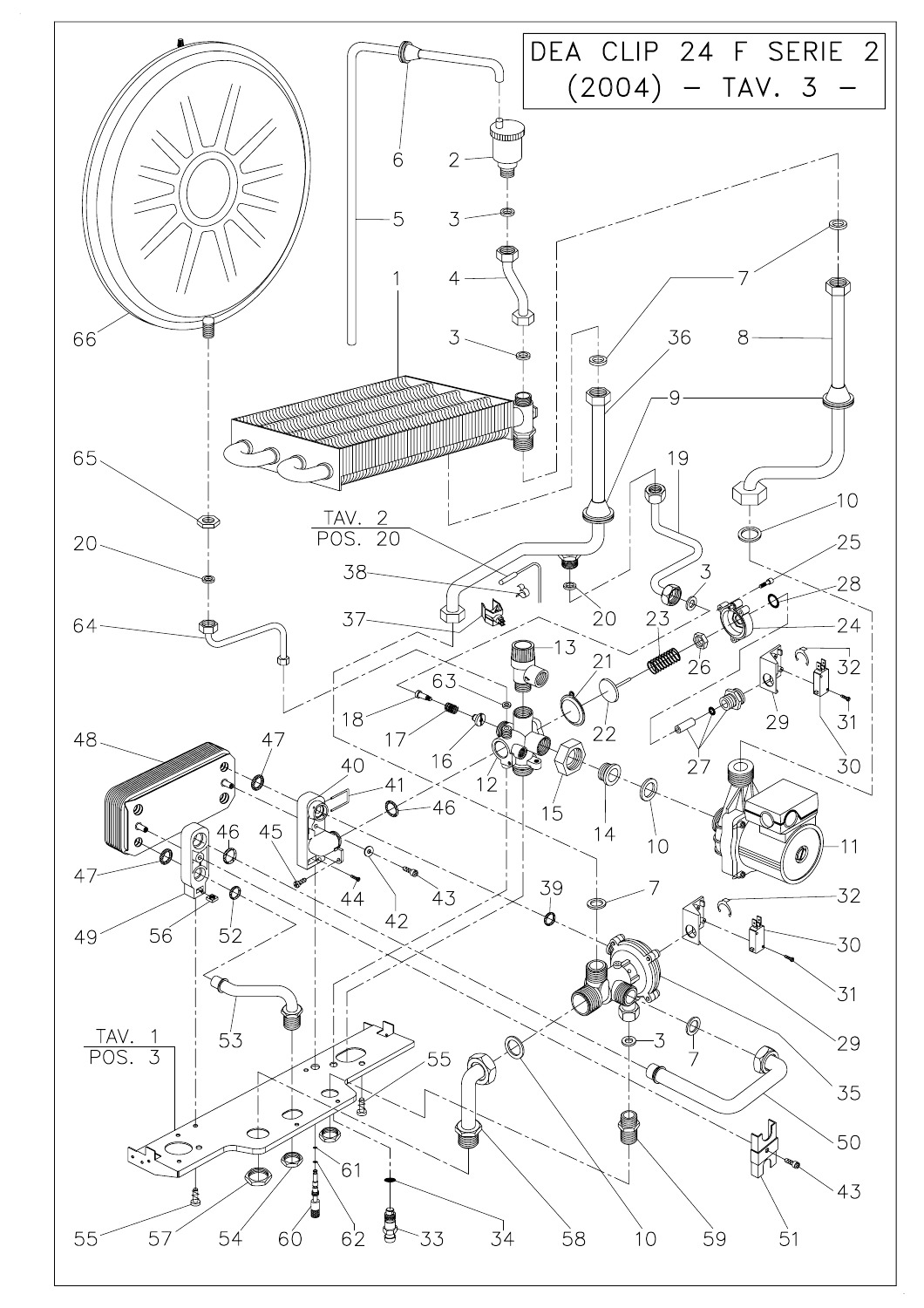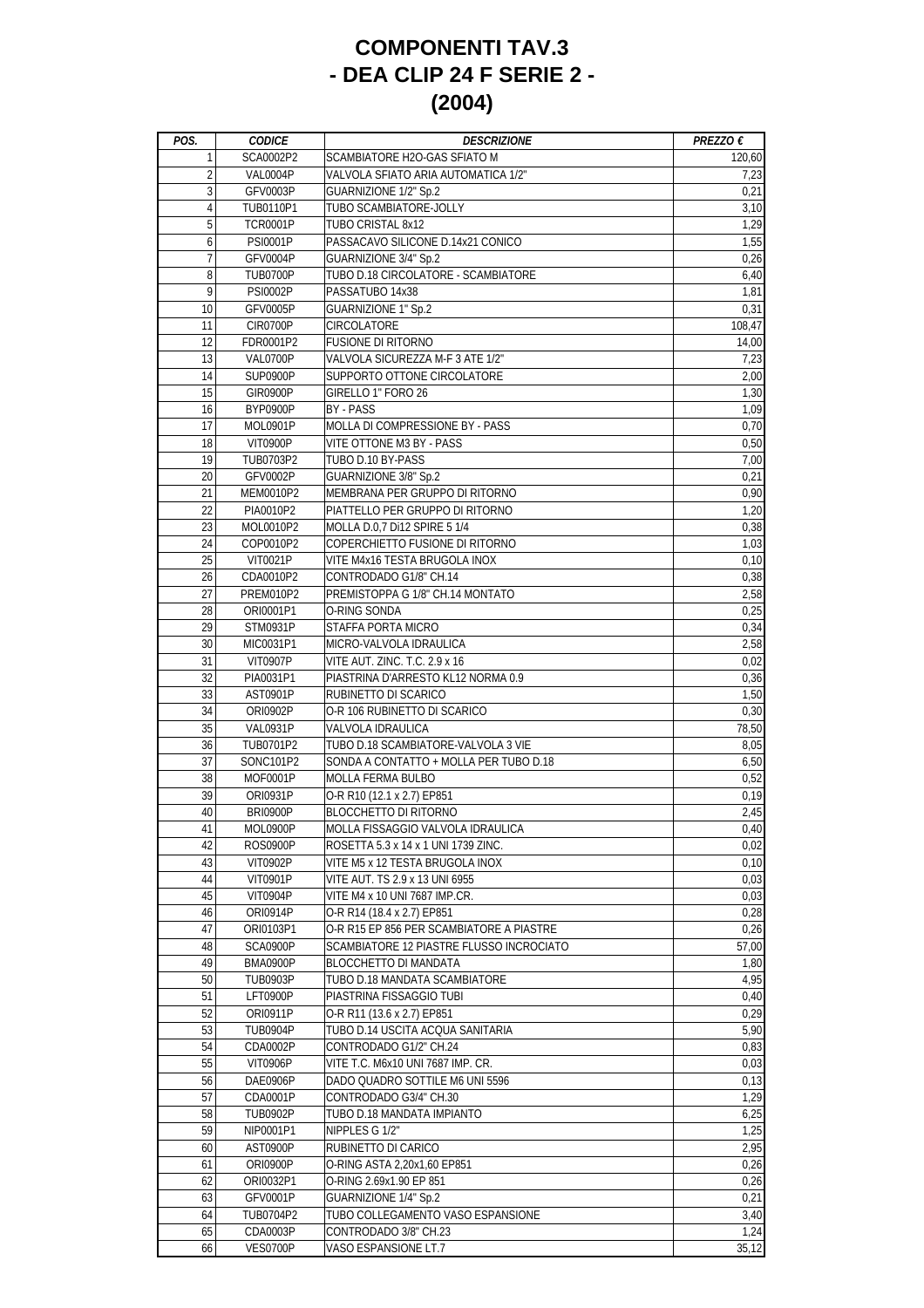## **COMPONENTI TAV.3 - DEA CLIP 24 F SERIE 2 - (2004)**

| POS.           | <b>CODICE</b>   | <b>DESCRIZIONE</b>                       | PREZZO $\epsilon$ |
|----------------|-----------------|------------------------------------------|-------------------|
| 1              | SCA0002P2       | SCAMBIATORE H2O-GAS SFIATO M             | 120,60            |
| $\overline{2}$ | VAL0004P        | VALVOLA SFIATO ARIA AUTOMATICA 1/2"      | 7,23              |
| 3              | GFV0003P        | <b>GUARNIZIONE 1/2" Sp.2</b>             | 0,21              |
| 4              | TUB0110P1       | TUBO SCAMBIATORE-JOLLY                   | 3,10              |
| 5              | <b>TCR0001P</b> | TUBO CRISTAL 8x12                        | 1,29              |
| 6              | <b>PSI0001P</b> | PASSACAVO SILICONE D.14x21 CONICO        | 1,55              |
| $\overline{7}$ | GFV0004P        | <b>GUARNIZIONE 3/4" Sp.2</b>             | 0,26              |
| 8              | TUB0700P        | TUBO D.18 CIRCOLATORE - SCAMBIATORE      | 6,40              |
| 9              | <b>PSI0002P</b> | PASSATUBO 14x38                          | 1,81              |
| 10             | <b>GFV0005P</b> | <b>GUARNIZIONE 1" Sp.2</b>               | 0,31              |
| 11             | <b>CIR0700P</b> | CIRCOLATORE                              | 108,47            |
| 12             | FDR0001P2       | <b>FUSIONE DI RITORNO</b>                | 14,00             |
| 13             | VAL0700P        | VALVOLA SICUREZZA M-F 3 ATE 1/2"         | 7,23              |
| 14             | <b>SUP0900P</b> | SUPPORTO OTTONE CIRCOLATORE              | 2,00              |
| 15             | <b>GIR0900P</b> | GIRELLO 1" FORO 26                       | 1,30              |
| 16             | <b>BYP0900P</b> | BY - PASS                                | 1,09              |
| 17             | MOL0901P        | MOLLA DI COMPRESSIONE BY - PASS          | 0,70              |
| 18             | <b>VIT0900P</b> | VITE OTTONE M3 BY - PASS                 | 0,50              |
| 19             |                 | TUBO D.10 BY-PASS                        |                   |
|                | TUB0703P2       |                                          | 7,00              |
| 20             | GFV0002P        | <b>GUARNIZIONE 3/8" Sp.2</b>             | 0,21              |
| 21             | MEM0010P2       | MEMBRANA PER GRUPPO DI RITORNO           | 0,90              |
| 22             | PIA0010P2       | PIATTELLO PER GRUPPO DI RITORNO          | 1,20              |
| 23             | MOL0010P2       | MOLLA D.0,7 Di12 SPIRE 5 1/4             | 0,38              |
| 24             | COP0010P2       | COPERCHIETTO FUSIONE DI RITORNO          | 1,03              |
| 25             | VIT0021P        | VITE M4x16 TESTA BRUGOLA INOX            | 0,10              |
| 26             | CDA0010P2       | CONTRODADO G1/8" CH.14                   | 0,38              |
| 27             | PREM010P2       | PREMISTOPPA G 1/8" CH.14 MONTATO         | 2,58              |
| 28             | ORI0001P1       | O-RING SONDA                             | 0,25              |
| 29             | STM0931P        | STAFFA PORTA MICRO                       | 0,34              |
| 30             | MIC0031P1       | MICRO-VALVOLA IDRAULICA                  | 2,58              |
| 31             | <b>VIT0907P</b> | VITE AUT. ZINC. T.C. 2.9 x 16            | 0,02              |
| 32             | PIA0031P1       | PIASTRINA D'ARRESTO KL12 NORMA 0.9       | 0,36              |
| 33             | AST0901P        | RUBINETTO DI SCARICO                     | 1,50              |
| 34             | ORI0902P        | O-R 106 RUBINETTO DI SCARICO             | 0,30              |
| 35             | <b>VAL0931P</b> | VALVOLA IDRAULICA                        | 78,50             |
| 36             | TUB0701P2       | TUBO D.18 SCAMBIATORE-VALVOLA 3 VIE      | 8,05              |
| 37             | SONC101P2       | SONDA A CONTATTO + MOLLA PER TUBO D.18   | 6,50              |
| 38             | MOF0001P        | MOLLA FERMA BULBO                        | 0,52              |
| 39             | ORI0931P        | O-R R10 (12.1 x 2.7) EP851               | 0,19              |
| 40             | <b>BRI0900P</b> | <b>BLOCCHETTO DI RITORNO</b>             | 2,45              |
| 41             | MOL0900P        | MOLLA FISSAGGIO VALVOLA IDRAULICA        | 0,40              |
| 42             | <b>ROS0900P</b> | ROSETTA 5.3 x 14 x 1 UNI 1739 ZINC.      | 0,02              |
| 43             | VIT0902P        | VITE M5 x 12 TESTA BRUGOLA INOX          | 0,10              |
| 44             | VIT0901P        | VITE AUT. TS 2.9 x 13 UNI 6955           | 0,03              |
| 45             | VIT0904P        | VITE M4 x 10 UNI 7687 IMP.CR.            | 0,03              |
| 46             | ORI0914P        | O-R R14 (18.4 x 2.7) EP851               | 0,28              |
| 47             | ORI0103P1       | O-R R15 EP 856 PER SCAMBIATORE A PIASTRE | 0,26              |
| 48             | SCA0900P        | SCAMBIATORE 12 PIASTRE FLUSSO INCROCIATO | 57,00             |
| 49             |                 | <b>BLOCCHETTO DI MANDATA</b>             | 1,80              |
| 50             | BMA0900P        | TUBO D.18 MANDATA SCAMBIATORE            | 4,95              |
|                | <b>TUB0903P</b> |                                          |                   |
| 51             | <b>LFT0900P</b> | PIASTRINA FISSAGGIO TUBI                 | 0,40              |
| 52             | ORI0911P        | O-R R11 (13.6 x 2.7) EP851               | 0,29              |
| 53             | <b>TUB0904P</b> | TUBO D.14 USCITA ACQUA SANITARIA         | 5,90              |
| 54             | CDA0002P        | CONTRODADO G1/2" CH.24                   | 0,83              |
| 55             | <b>VIT0906P</b> | VITE T.C. M6x10 UNI 7687 IMP. CR.        | 0,03              |
| 56             | DAE0906P        | DADO QUADRO SOTTILE M6 UNI 5596          | 0,13              |
| 57             | CDA0001P        | CONTRODADO G3/4" CH.30                   | 1,29              |
| 58             | <b>TUB0902P</b> | TUBO D.18 MANDATA IMPIANTO               | 6,25              |
| 59             | NIP0001P1       | NIPPLES G 1/2"                           | 1,25              |
| 60             | AST0900P        | RUBINETTO DI CARICO                      | 2,95              |
| 61             | <b>ORI0900P</b> | O-RING ASTA 2,20x1,60 EP851              | 0,26              |
| 62             | ORI0032P1       | O-RING 2.69x1.90 EP 851                  | 0,26              |
| 63             | GFV0001P        | <b>GUARNIZIONE 1/4" Sp.2</b>             | 0,21              |
| 64             | TUB0704P2       | TUBO COLLEGAMENTO VASO ESPANSIONE        | 3,40              |
| 65             | CDA0003P        | CONTRODADO 3/8" CH.23                    | 1,24              |
| 66             | <b>VES0700P</b> | VASO ESPANSIONE LT.7                     | 35,12             |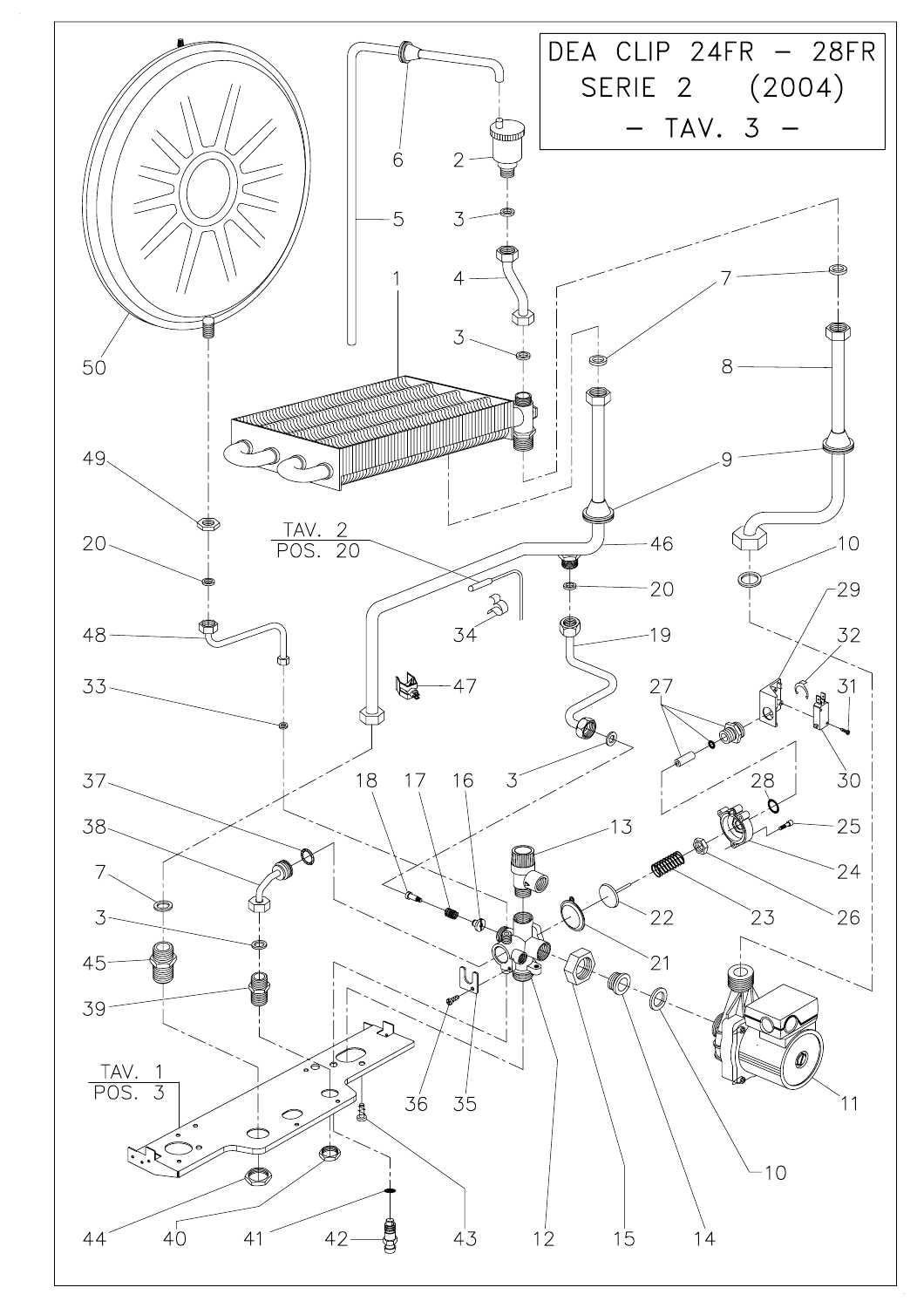